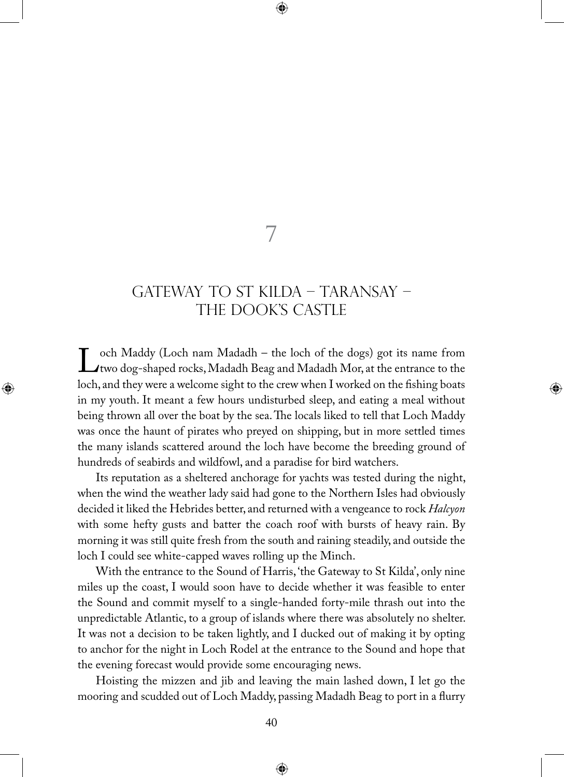7

## Gateway to St Kilda – Taransay – The Dook's castle

Loch Maddy (Loch nam Madadh – the loch of the dogs) got its name from<br>Lytwo dog-shaped rocks, Madadh Beag and Madadh Mor, at the entrance to the<br>loch and they were a welcome sight to the crew when I worked on the fishing b two dog-shaped rocks, Madadh Beag and Madadh Mor, at the entrance to the loch, and they were a welcome sight to the crew when I worked on the fishing boats in my youth. It meant a few hours undisturbed sleep, and eating a meal without being thrown all over the boat by the sea. The locals liked to tell that Loch Maddy was once the haunt of pirates who preyed on shipping, but in more settled times the many islands scattered around the loch have become the breeding ground of hundreds of seabirds and wildfowl, and a paradise for bird watchers.

Its reputation as a sheltered anchorage for yachts was tested during the night, when the wind the weather lady said had gone to the Northern Isles had obviously decided it liked the Hebrides better, and returned with a vengeance to rock *Halcyon* with some hefty gusts and batter the coach roof with bursts of heavy rain. By morning it was still quite fresh from the south and raining steadily, and outside the loch I could see white-capped waves rolling up the Minch.

With the entrance to the Sound of Harris, 'the Gateway to St Kilda', only nine miles up the coast, I would soon have to decide whether it was feasible to enter the Sound and commit myself to a single-handed forty-mile thrash out into the unpredictable Atlantic, to a group of islands where there was absolutely no shelter. It was not a decision to be taken lightly, and I ducked out of making it by opting to anchor for the night in Loch Rodel at the entrance to the Sound and hope that the evening forecast would provide some encouraging news.

Hoisting the mizzen and jib and leaving the main lashed down, I let go the mooring and scudded out of Loch Maddy, passing Madadh Beag to port in a flurry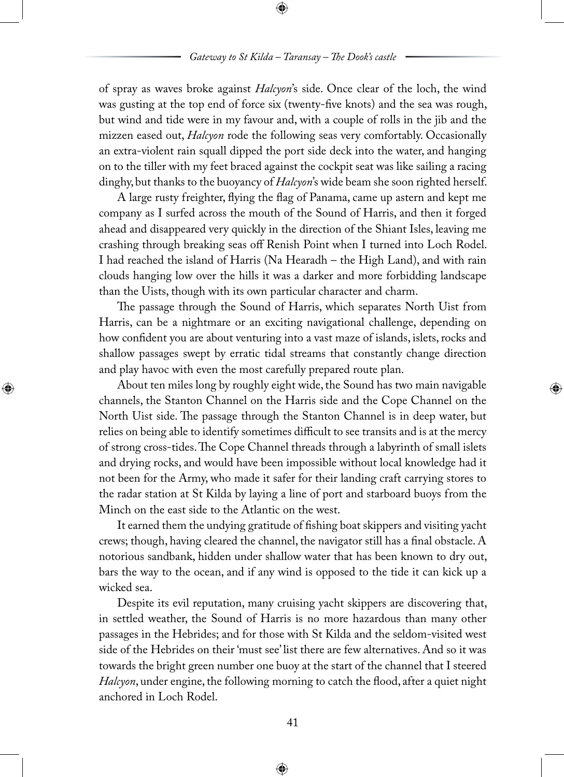of spray as waves broke against *Halcyon*'s side. Once clear of the loch, the wind was gusting at the top end of force six (twenty-five knots) and the sea was rough, but wind and tide were in my favour and, with a couple of rolls in the jib and the mizzen eased out, *Halcyon* rode the following seas very comfortably. Occasionally an extra-violent rain squall dipped the port side deck into the water, and hanging on to the tiller with my feet braced against the cockpit seat was like sailing a racing dinghy, but thanks to the buoyancy of *Halcyon*'s wide beam she soon righted herself.

A large rusty freighter, flying the flag of Panama, came up astern and kept me company as I surfed across the mouth of the Sound of Harris, and then it forged ahead and disappeared very quickly in the direction of the Shiant Isles, leaving me crashing through breaking seas off Renish Point when I turned into Loch Rodel. I had reached the island of Harris (Na Hearadh – the High Land), and with rain clouds hanging low over the hills it was a darker and more forbidding landscape than the Uists, though with its own particular character and charm.

The passage through the Sound of Harris, which separates North Uist from Harris, can be a nightmare or an exciting navigational challenge, depending on how confident you are about venturing into a vast maze of islands, islets, rocks and shallow passages swept by erratic tidal streams that constantly change direction and play havoc with even the most carefully prepared route plan.

About ten miles long by roughly eight wide, the Sound has two main navigable channels, the Stanton Channel on the Harris side and the Cope Channel on the North Uist side. The passage through the Stanton Channel is in deep water, but relies on being able to identify sometimes difficult to see transits and is at the mercy of strong cross-tides. The Cope Channel threads through a labyrinth of small islets and drying rocks, and would have been impossible without local knowledge had it not been for the Army, who made it safer for their landing craft carrying stores to the radar station at St Kilda by laying a line of port and starboard buoys from the Minch on the east side to the Atlantic on the west.

It earned them the undying gratitude of fishing boat skippers and visiting yacht crews; though, having cleared the channel, the navigator still has a final obstacle. A notorious sandbank, hidden under shallow water that has been known to dry out, bars the way to the ocean, and if any wind is opposed to the tide it can kick up a wicked sea.

Despite its evil reputation, many cruising yacht skippers are discovering that, in settled weather, the Sound of Harris is no more hazardous than many other passages in the Hebrides; and for those with St Kilda and the seldom-visited west side of the Hebrides on their 'must see' list there are few alternatives. And so it was towards the bright green number one buoy at the start of the channel that I steered *Halcyon*, under engine, the following morning to catch the flood, after a quiet night anchored in Loch Rodel.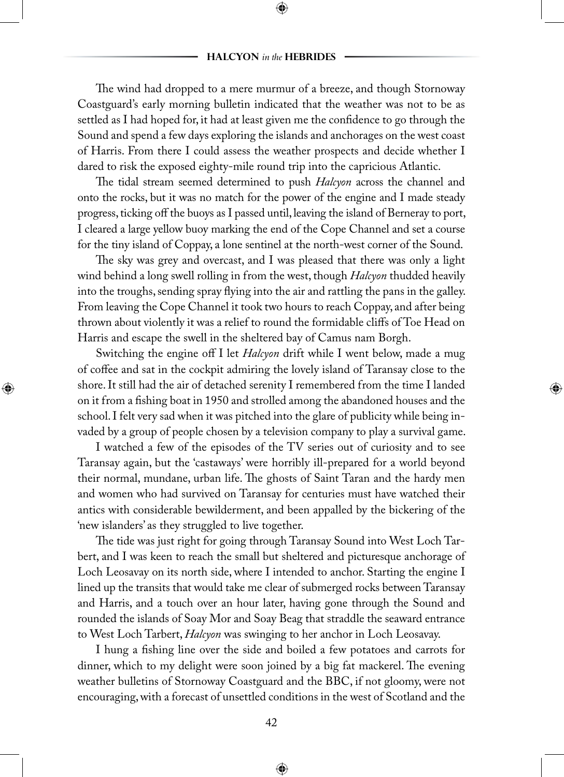The wind had dropped to a mere murmur of a breeze, and though Stornoway Coastguard's early morning bulletin indicated that the weather was not to be as settled as I had hoped for, it had at least given me the confidence to go through the Sound and spend a few days exploring the islands and anchorages on the west coast of Harris. From there I could assess the weather prospects and decide whether I dared to risk the exposed eighty-mile round trip into the capricious Atlantic.

The tidal stream seemed determined to push *Halcyon* across the channel and onto the rocks, but it was no match for the power of the engine and I made steady progress, ticking off the buoys as I passed until, leaving the island of Berneray to port, I cleared a large yellow buoy marking the end of the Cope Channel and set a course for the tiny island of Coppay, a lone sentinel at the north-west corner of the Sound.

The sky was grey and overcast, and I was pleased that there was only a light wind behind a long swell rolling in from the west, though *Halcyon* thudded heavily into the troughs, sending spray flying into the air and rattling the pans in the galley. From leaving the Cope Channel it took two hours to reach Coppay, and after being thrown about violently it was a relief to round the formidable cliffs of Toe Head on Harris and escape the swell in the sheltered bay of Camus nam Borgh.

Switching the engine off I let *Halcyon* drift while I went below, made a mug of coffee and sat in the cockpit admiring the lovely island of Taransay close to the shore. It still had the air of detached serenity I remembered from the time I landed on it from a fi shing boat in 1950 and strolled among the abandoned houses and the school. I felt very sad when it was pitched into the glare of publicity while being invaded by a group of people chosen by a television company to play a survival game.

I watched a few of the episodes of the TV series out of curiosity and to see Taransay again, but the 'castaways' were horribly ill-prepared for a world beyond their normal, mundane, urban life. The ghosts of Saint Taran and the hardy men and women who had survived on Taransay for centuries must have watched their antics with considerable bewilderment, and been appalled by the bickering of the 'new islanders' as they struggled to live together.

The tide was just right for going through Taransay Sound into West Loch Tarbert, and I was keen to reach the small but sheltered and picturesque anchorage of Loch Leosavay on its north side, where I intended to anchor. Starting the engine I lined up the transits that would take me clear of submerged rocks between Taransay and Harris, and a touch over an hour later, having gone through the Sound and rounded the islands of Soay Mor and Soay Beag that straddle the seaward entrance to West Loch Tarbert, *Halcyon* was swinging to her anchor in Loch Leosavay.

I hung a fishing line over the side and boiled a few potatoes and carrots for dinner, which to my delight were soon joined by a big fat mackerel. The evening weather bulletins of Stornoway Coastguard and the BBC, if not gloomy, were not encouraging, with a forecast of unsettled conditions in the west of Scotland and the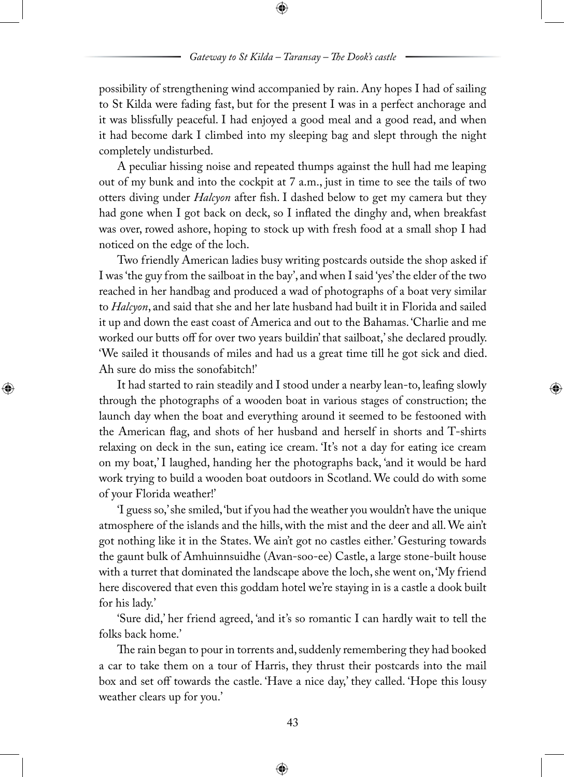possibility of strengthening wind accompanied by rain. Any hopes I had of sailing to St Kilda were fading fast, but for the present I was in a perfect anchorage and it was blissfully peaceful. I had enjoyed a good meal and a good read, and when it had become dark I climbed into my sleeping bag and slept through the night completely undisturbed.

A peculiar hissing noise and repeated thumps against the hull had me leaping out of my bunk and into the cockpit at 7 a.m., just in time to see the tails of two otters diving under *Halcyon* after fish. I dashed below to get my camera but they had gone when I got back on deck, so I inflated the dinghy and, when breakfast was over, rowed ashore, hoping to stock up with fresh food at a small shop I had noticed on the edge of the loch.

Two friendly American ladies busy writing postcards outside the shop asked if I was 'the guy from the sailboat in the bay', and when I said 'yes' the elder of the two reached in her handbag and produced a wad of photographs of a boat very similar to *Halcyon*, and said that she and her late husband had built it in Florida and sailed it up and down the east coast of America and out to the Bahamas. 'Charlie and me worked our butts off for over two years buildin' that sailboat,' she declared proudly. 'We sailed it thousands of miles and had us a great time till he got sick and died. Ah sure do miss the sonofabitch!'

It had started to rain steadily and I stood under a nearby lean-to, leafing slowly through the photographs of a wooden boat in various stages of construction; the launch day when the boat and everything around it seemed to be festooned with the American flag, and shots of her husband and herself in shorts and T-shirts relaxing on deck in the sun, eating ice cream. 'It's not a day for eating ice cream on my boat,' I laughed, handing her the photographs back, 'and it would be hard work trying to build a wooden boat outdoors in Scotland. We could do with some of your Florida weather!'

'I guess so,' she smiled, 'but if you had the weather you wouldn't have the unique atmosphere of the islands and the hills, with the mist and the deer and all. We ain't got nothing like it in the States. We ain't got no castles either.' Gesturing towards the gaunt bulk of Amhuinnsuidhe (Avan-soo-ee) Castle, a large stone-built house with a turret that dominated the landscape above the loch, she went on, 'My friend here discovered that even this goddam hotel we're staying in is a castle a dook built for his lady.'

'Sure did,' her friend agreed, 'and it's so romantic I can hardly wait to tell the folks back home.'

The rain began to pour in torrents and, suddenly remembering they had booked a car to take them on a tour of Harris, they thrust their postcards into the mail box and set off towards the castle. 'Have a nice day,' they called. 'Hope this lousy weather clears up for you.'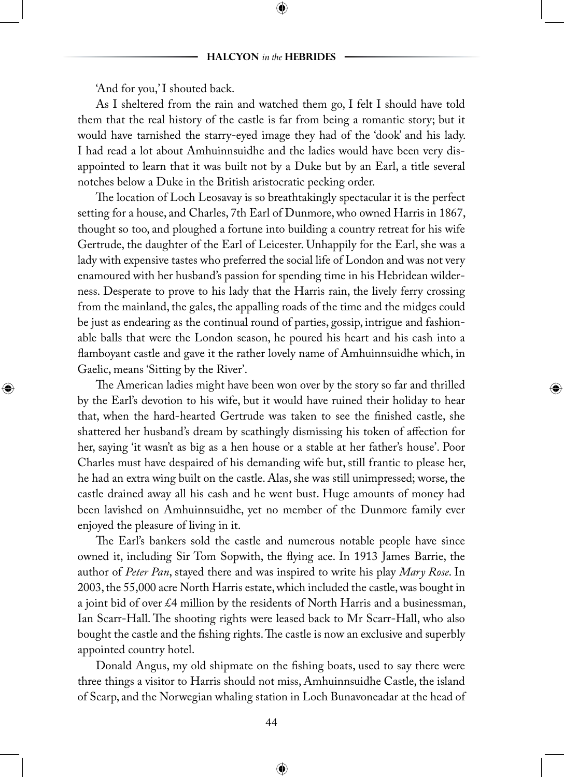'And for you,' I shouted back.

As I sheltered from the rain and watched them go, I felt I should have told them that the real history of the castle is far from being a romantic story; but it would have tarnished the starry-eyed image they had of the 'dook' and his lady. I had read a lot about Amhuinnsuidhe and the ladies would have been very disappointed to learn that it was built not by a Duke but by an Earl, a title several notches below a Duke in the British aristocratic pecking order.

The location of Loch Leosavay is so breathtakingly spectacular it is the perfect setting for a house, and Charles, 7th Earl of Dunmore, who owned Harris in 1867, thought so too, and ploughed a fortune into building a country retreat for his wife Gertrude, the daughter of the Earl of Leicester. Unhappily for the Earl, she was a lady with expensive tastes who preferred the social life of London and was not very enamoured with her husband's passion for spending time in his Hebridean wilderness. Desperate to prove to his lady that the Harris rain, the lively ferry crossing from the mainland, the gales, the appalling roads of the time and the midges could be just as endearing as the continual round of parties, gossip, intrigue and fashionable balls that were the London season, he poured his heart and his cash into a flamboyant castle and gave it the rather lovely name of Amhuinnsuidhe which, in Gaelic, means 'Sitting by the River'.

The American ladies might have been won over by the story so far and thrilled by the Earl's devotion to his wife, but it would have ruined their holiday to hear that, when the hard-hearted Gertrude was taken to see the finished castle, she shattered her husband's dream by scathingly dismissing his token of affection for her, saying 'it wasn't as big as a hen house or a stable at her father's house'. Poor Charles must have despaired of his demanding wife but, still frantic to please her, he had an extra wing built on the castle. Alas, she was still unimpressed; worse, the castle drained away all his cash and he went bust. Huge amounts of money had been lavished on Amhuinnsuidhe, yet no member of the Dunmore family ever enjoyed the pleasure of living in it.

The Earl's bankers sold the castle and numerous notable people have since owned it, including Sir Tom Sopwith, the flying ace. In 1913 James Barrie, the author of *Peter Pan*, stayed there and was inspired to write his play *Mary Rose*. In 2003, the 55,000 acre North Harris estate, which included the castle, was bought in a joint bid of over £4 million by the residents of North Harris and a businessman, Ian Scarr-Hall. The shooting rights were leased back to Mr Scarr-Hall, who also bought the castle and the fishing rights. The castle is now an exclusive and superbly appointed country hotel.

Donald Angus, my old shipmate on the fishing boats, used to say there were three things a visitor to Harris should not miss, Amhuinnsuidhe Castle, the island of Scarp, and the Norwegian whaling station in Loch Bunavoneadar at the head of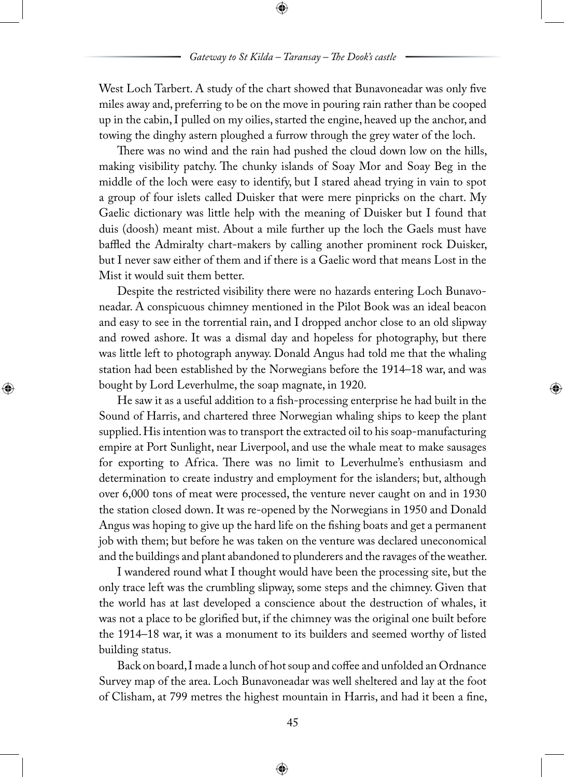West Loch Tarbert. A study of the chart showed that Bunavoneadar was only five miles away and, preferring to be on the move in pouring rain rather than be cooped up in the cabin, I pulled on my oilies, started the engine, heaved up the anchor, and towing the dinghy astern ploughed a furrow through the grey water of the loch.

There was no wind and the rain had pushed the cloud down low on the hills, making visibility patchy. The chunky islands of Soay Mor and Soay Beg in the middle of the loch were easy to identify, but I stared ahead trying in vain to spot a group of four islets called Duisker that were mere pinpricks on the chart. My Gaelic dictionary was little help with the meaning of Duisker but I found that duis (doosh) meant mist. About a mile further up the loch the Gaels must have baffled the Admiralty chart-makers by calling another prominent rock Duisker, but I never saw either of them and if there is a Gaelic word that means Lost in the Mist it would suit them better.

Despite the restricted visibility there were no hazards entering Loch Bunavoneadar. A conspicuous chimney mentioned in the Pilot Book was an ideal beacon and easy to see in the torrential rain, and I dropped anchor close to an old slipway and rowed ashore. It was a dismal day and hopeless for photography, but there was little left to photograph anyway. Donald Angus had told me that the whaling station had been established by the Norwegians before the 1914–18 war, and was bought by Lord Leverhulme, the soap magnate, in 1920.

He saw it as a useful addition to a fish-processing enterprise he had built in the Sound of Harris, and chartered three Norwegian whaling ships to keep the plant supplied. His intention was to transport the extracted oil to his soap-manufacturing empire at Port Sunlight, near Liverpool, and use the whale meat to make sausages for exporting to Africa. There was no limit to Leverhulme's enthusiasm and determination to create industry and employment for the islanders; but, although over 6,000 tons of meat were processed, the venture never caught on and in 1930 the station closed down. It was re-opened by the Norwegians in 1950 and Donald Angus was hoping to give up the hard life on the fishing boats and get a permanent job with them; but before he was taken on the venture was declared uneconomical and the buildings and plant abandoned to plunderers and the ravages of the weather.

I wandered round what I thought would have been the processing site, but the only trace left was the crumbling slipway, some steps and the chimney. Given that the world has at last developed a conscience about the destruction of whales, it was not a place to be glorified but, if the chimney was the original one built before the 1914–18 war, it was a monument to its builders and seemed worthy of listed building status.

Back on board, I made a lunch of hot soup and coffee and unfolded an Ordnance Survey map of the area. Loch Bunavoneadar was well sheltered and lay at the foot of Clisham, at 799 metres the highest mountain in Harris, and had it been a fine,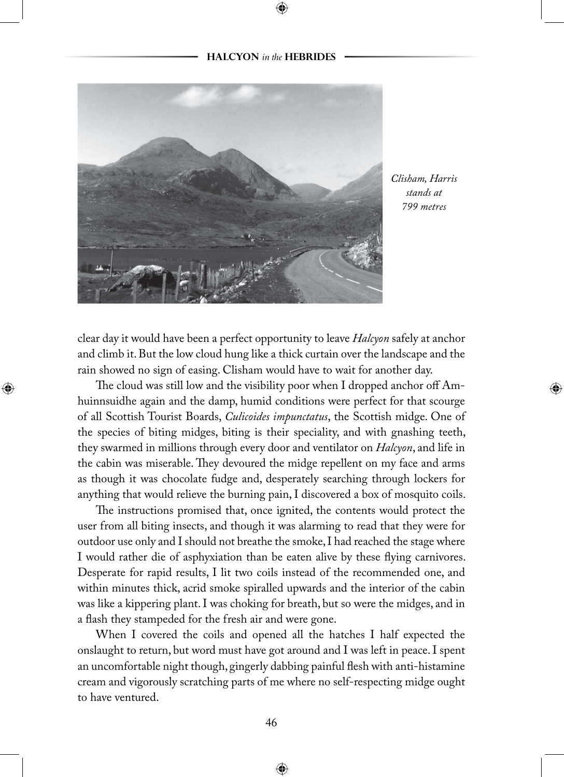

*Clisham, Harris stands at 799 metres*

clear day it would have been a perfect opportunity to leave *Halcyon* safely at anchor and climb it. But the low cloud hung like a thick curtain over the landscape and the rain showed no sign of easing. Clisham would have to wait for another day.

The cloud was still low and the visibility poor when I dropped anchor off Amhuinnsuidhe again and the damp, humid conditions were perfect for that scourge of all Scottish Tourist Boards, *Culicoides impunctatus*, the Scottish midge. One of the species of biting midges, biting is their speciality, and with gnashing teeth, they swarmed in millions through every door and ventilator on *Halcyon*, and life in the cabin was miserable. They devoured the midge repellent on my face and arms as though it was chocolate fudge and, desperately searching through lockers for anything that would relieve the burning pain, I discovered a box of mosquito coils.

The instructions promised that, once ignited, the contents would protect the user from all biting insects, and though it was alarming to read that they were for outdoor use only and I should not breathe the smoke, I had reached the stage where I would rather die of asphyxiation than be eaten alive by these flying carnivores. Desperate for rapid results, I lit two coils instead of the recommended one, and within minutes thick, acrid smoke spiralled upwards and the interior of the cabin was like a kippering plant. I was choking for breath, but so were the midges, and in a flash they stampeded for the fresh air and were gone.

When I covered the coils and opened all the hatches I half expected the onslaught to return, but word must have got around and I was left in peace. I spent an uncomfortable night though, gingerly dabbing painful flesh with anti-histamine cream and vigorously scratching parts of me where no self-respecting midge ought to have ventured.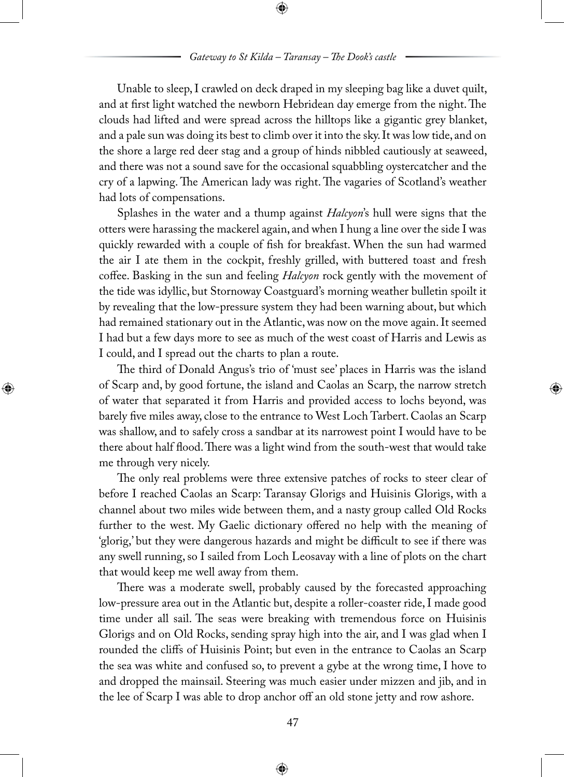Unable to sleep, I crawled on deck draped in my sleeping bag like a duvet quilt, and at first light watched the newborn Hebridean day emerge from the night. The clouds had lifted and were spread across the hilltops like a gigantic grey blanket, and a pale sun was doing its best to climb over it into the sky. It was low tide, and on the shore a large red deer stag and a group of hinds nibbled cautiously at seaweed, and there was not a sound save for the occasional squabbling oystercatcher and the cry of a lapwing. The American lady was right. The vagaries of Scotland's weather had lots of compensations.

Splashes in the water and a thump against *Halcyon*'s hull were signs that the otters were harassing the mackerel again, and when I hung a line over the side I was quickly rewarded with a couple of fish for breakfast. When the sun had warmed the air I ate them in the cockpit, freshly grilled, with buttered toast and fresh coffee. Basking in the sun and feeling *Halcyon* rock gently with the movement of the tide was idyllic, but Stornoway Coastguard's morning weather bulletin spoilt it by revealing that the low-pressure system they had been warning about, but which had remained stationary out in the Atlantic, was now on the move again. It seemed I had but a few days more to see as much of the west coast of Harris and Lewis as I could, and I spread out the charts to plan a route.

The third of Donald Angus's trio of 'must see' places in Harris was the island of Scarp and, by good fortune, the island and Caolas an Scarp, the narrow stretch of water that separated it from Harris and provided access to lochs beyond, was barely five miles away, close to the entrance to West Loch Tarbert. Caolas an Scarp was shallow, and to safely cross a sandbar at its narrowest point I would have to be there about half flood. There was a light wind from the south-west that would take me through very nicely.

The only real problems were three extensive patches of rocks to steer clear of before I reached Caolas an Scarp: Taransay Glorigs and Huisinis Glorigs, with a channel about two miles wide between them, and a nasty group called Old Rocks further to the west. My Gaelic dictionary offered no help with the meaning of 'glorig,' but they were dangerous hazards and might be difficult to see if there was any swell running, so I sailed from Loch Leosavay with a line of plots on the chart that would keep me well away from them.

There was a moderate swell, probably caused by the forecasted approaching low-pressure area out in the Atlantic but, despite a roller-coaster ride, I made good time under all sail. The seas were breaking with tremendous force on Huisinis Glorigs and on Old Rocks, sending spray high into the air, and I was glad when I rounded the cliffs of Huisinis Point; but even in the entrance to Caolas an Scarp the sea was white and confused so, to prevent a gybe at the wrong time, I hove to and dropped the mainsail. Steering was much easier under mizzen and jib, and in the lee of Scarp I was able to drop anchor off an old stone jetty and row ashore.